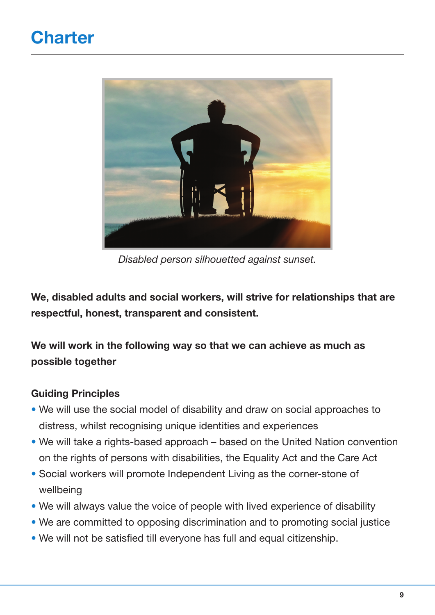# **Charter**



*Disabled person silhouetted against sunset.*

**We, disabled adults and social workers, will strive for relationships that are respectful, honest, transparent and consistent.**

**We will work in the following way so that we can achieve as much as possible together**

#### **Guiding Principles**

- We will use the social model of disability and draw on social approaches to distress, whilst recognising unique identities and experiences
- We will take a rights-based approach based on the United Nation convention on the rights of persons with disabilities, the Equality Act and the Care Act
- Social workers will promote Independent Living as the corner-stone of wellbeing
- We will always value the voice of people with lived experience of disability
- We are committed to opposing discrimination and to promoting social justice
- We will not be satisfied till everyone has full and equal citizenship.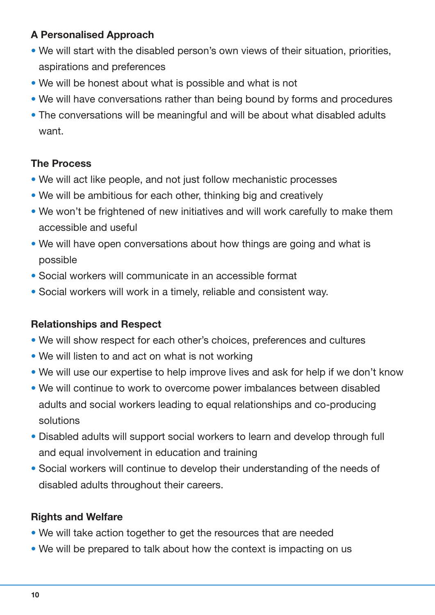## **A Personalised Approach**

- We will start with the disabled person's own views of their situation, priorities, aspirations and preferences
- We will be honest about what is possible and what is not
- We will have conversations rather than being bound by forms and procedures
- The conversations will be meaningful and will be about what disabled adults want.

## **The Process**

- We will act like people, and not just follow mechanistic processes
- We will be ambitious for each other, thinking big and creatively
- We won't be frightened of new initiatives and will work carefully to make them accessible and useful
- We will have open conversations about how things are going and what is possible
- Social workers will communicate in an accessible format
- Social workers will work in a timely, reliable and consistent way.

#### **Relationships and Respect**

- We will show respect for each other's choices, preferences and cultures
- We will listen to and act on what is not working
- We will use our expertise to help improve lives and ask for help if we don't know
- We will continue to work to overcome power imbalances between disabled adults and social workers leading to equal relationships and co-producing solutions
- Disabled adults will support social workers to learn and develop through full and equal involvement in education and training
- Social workers will continue to develop their understanding of the needs of disabled adults throughout their careers.

#### **Rights and Welfare**

- We will take action together to get the resources that are needed
- We will be prepared to talk about how the context is impacting on us